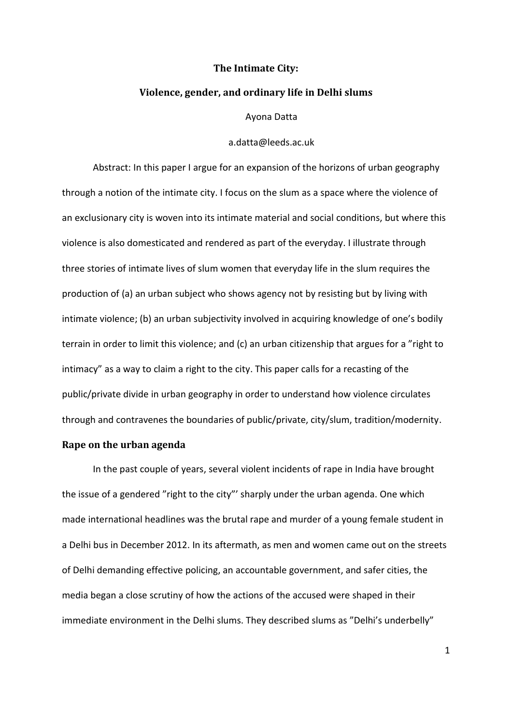#### **The Intimate City:**

#### **Violence, gender, and ordinary life in Delhi slums**

Ayona Datta

#### a.datta@leeds.ac.uk

Abstract: In this paper I argue for an expansion of the horizons of urban geography through a notion of the intimate city. I focus on the slum as a space where the violence of an exclusionary city is woven into its intimate material and social conditions, but where this violence is also domesticated and rendered as part of the everyday. I illustrate through three stories of intimate lives of slum women that everyday life in the slum requires the production of (a) an urban subject who shows agency not by resisting but by living with intimate violence; (b) an urban subjectivity involved in acquiring knowledge of one's bodily terrain in order to limit this violence; and (c) an urban citizenship that argues for a "right to intimacy" as a way to claim a right to the city. This paper calls for a recasting of the public/private divide in urban geography in order to understand how violence circulates through and contravenes the boundaries of public/private, city/slum, tradition/modernity.

#### **Rape on the urban agenda**

In the past couple of years, several violent incidents of rape in India have brought the issue of a gendered "right to the city"' sharply under the urban agenda. One which made international headlines was the brutal rape and murder of a young female student in a Delhi bus in December 2012. In its aftermath, as men and women came out on the streets of Delhi demanding effective policing, an accountable government, and safer cities, the media began a close scrutiny of how the actions of the accused were shaped in their immediate environment in the Delhi slums. They described slums as "Delhi's underbelly"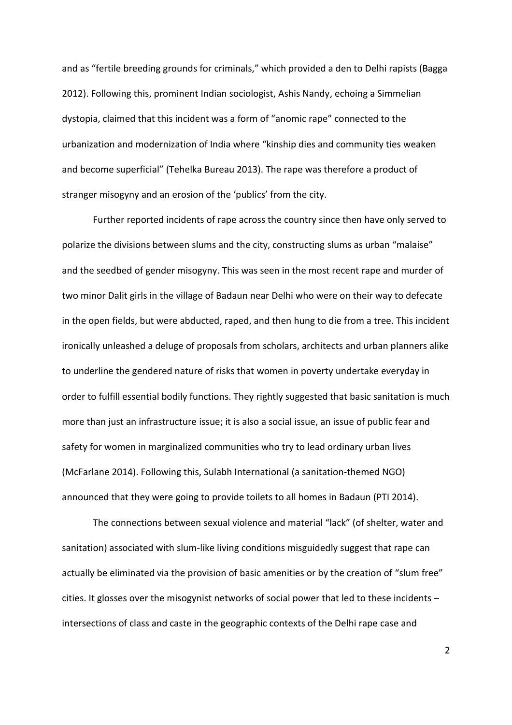and as "fertile breeding grounds for criminals," which provided a den to Delhi rapists (Bagga 2012). Following this, prominent Indian sociologist, Ashis Nandy, echoing a Simmelian dystopia, claimed that this incident was a form of "anomic rape" connected to the urbanization and modernization of India where "kinship dies and community ties weaken and become superficial" (Tehelka Bureau 2013). The rape was therefore a product of stranger misogyny and an erosion of the 'publics' from the city.

Further reported incidents of rape across the country since then have only served to polarize the divisions between slums and the city, constructing slums as urban "malaise" and the seedbed of gender misogyny. This was seen in the most recent rape and murder of two minor Dalit girls in the village of Badaun near Delhi who were on their way to defecate in the open fields, but were abducted, raped, and then hung to die from a tree. This incident ironically unleashed a deluge of proposals from scholars, architects and urban planners alike to underline the gendered nature of risks that women in poverty undertake everyday in order to fulfill essential bodily functions. They rightly suggested that basic sanitation is much more than just an infrastructure issue; it is also a social issue, an issue of public fear and safety for women in marginalized communities who try to lead ordinary urban lives (McFarlane 2014). Following this, Sulabh International (a sanitation-themed NGO) announced that they were going to provide toilets to all homes in Badaun (PTI 2014).

The connections between sexual violence and material "lack" (of shelter, water and sanitation) associated with slum-like living conditions misguidedly suggest that rape can actually be eliminated via the provision of basic amenities or by the creation of "slum free" cities. It glosses over the misogynist networks of social power that led to these incidents – intersections of class and caste in the geographic contexts of the Delhi rape case and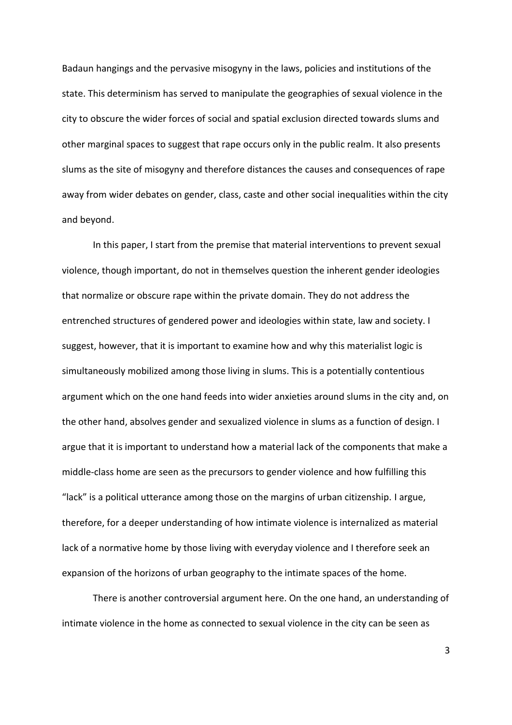Badaun hangings and the pervasive misogyny in the laws, policies and institutions of the state. This determinism has served to manipulate the geographies of sexual violence in the city to obscure the wider forces of social and spatial exclusion directed towards slums and other marginal spaces to suggest that rape occurs only in the public realm. It also presents slums as the site of misogyny and therefore distances the causes and consequences of rape away from wider debates on gender, class, caste and other social inequalities within the city and beyond.

In this paper, I start from the premise that material interventions to prevent sexual violence, though important, do not in themselves question the inherent gender ideologies that normalize or obscure rape within the private domain. They do not address the entrenched structures of gendered power and ideologies within state, law and society. I suggest, however, that it is important to examine how and why this materialist logic is simultaneously mobilized among those living in slums. This is a potentially contentious argument which on the one hand feeds into wider anxieties around slums in the city and, on the other hand, absolves gender and sexualized violence in slums as a function of design. I argue that it is important to understand how a material lack of the components that make a middle-class home are seen as the precursors to gender violence and how fulfilling this "lack" is a political utterance among those on the margins of urban citizenship. I argue, therefore, for a deeper understanding of how intimate violence is internalized as material lack of a normative home by those living with everyday violence and I therefore seek an expansion of the horizons of urban geography to the intimate spaces of the home.

There is another controversial argument here. On the one hand, an understanding of intimate violence in the home as connected to sexual violence in the city can be seen as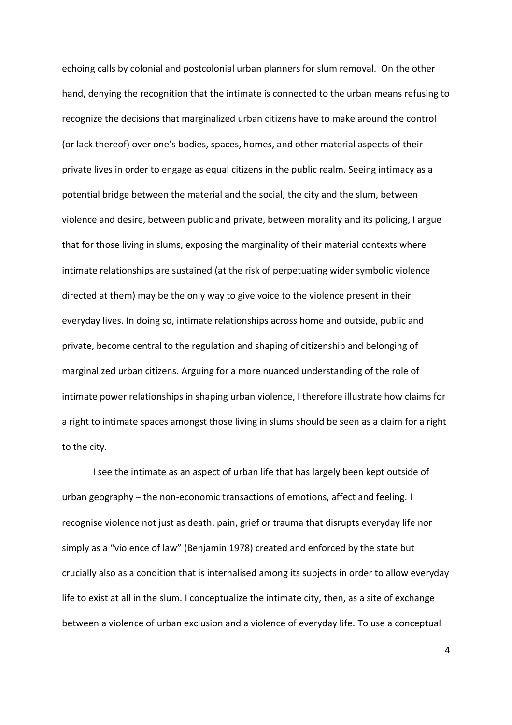echoing calls by colonial and postcolonial urban planners for slum removal. On the other hand, denying the recognition that the intimate is connected to the urban means refusing to recognize the decisions that marginalized urban citizens have to make around the control (or lack thereof) over one's bodies, spaces, homes, and other material aspects of their private lives in order to engage as equal citizens in the public realm. Seeing intimacy as a potential bridge between the material and the social, the city and the slum, between violence and desire, between public and private, between morality and its policing, I argue that for those living in slums, exposing the marginality of their material contexts where intimate relationships are sustained (at the risk of perpetuating wider symbolic violence directed at them) may be the only way to give voice to the violence present in their everyday lives. In doing so, intimate relationships across home and outside, public and private, become central to the regulation and shaping of citizenship and belonging of marginalized urban citizens. Arguing for a more nuanced understanding of the role of intimate power relationships in shaping urban violence, I therefore illustrate how claims for a right to intimate spaces amongst those living in slums should be seen as a claim for a right to the city.

I see the intimate as an aspect of urban life that has largely been kept outside of urban geography – the non-economic transactions of emotions, affect and feeling. I recognise violence not just as death, pain, grief or trauma that disrupts everyday life nor simply as a "violence of law" (Benjamin 1978) created and enforced by the state but crucially also as a condition that is internalised among its subjects in order to allow everyday life to exist at all in the slum. I conceptualize the intimate city, then, as a site of exchange between a violence of urban exclusion and a violence of everyday life. To use a conceptual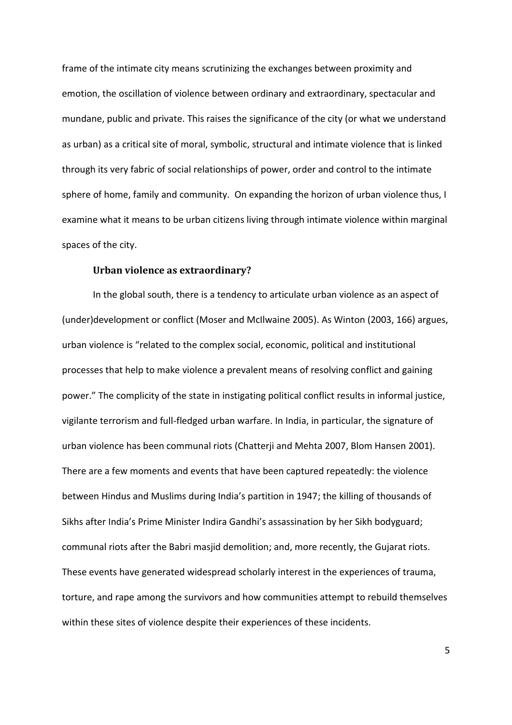frame of the intimate city means scrutinizing the exchanges between proximity and emotion, the oscillation of violence between ordinary and extraordinary, spectacular and mundane, public and private. This raises the significance of the city (or what we understand as urban) as a critical site of moral, symbolic, structural and intimate violence that is linked through its very fabric of social relationships of power, order and control to the intimate sphere of home, family and community. On expanding the horizon of urban violence thus, I examine what it means to be urban citizens living through intimate violence within marginal spaces of the city.

#### **Urban violence as extraordinary?**

In the global south, there is a tendency to articulate urban violence as an aspect of (under)development or conflict (Moser and McIlwaine 2005). As Winton (2003, 166) argues, urban violence is "related to the complex social, economic, political and institutional processes that help to make violence a prevalent means of resolving conflict and gaining power." The complicity of the state in instigating political conflict results in informal justice, vigilante terrorism and full-fledged urban warfare. In India, in particular, the signature of urban violence has been communal riots (Chatterji and Mehta 2007, Blom Hansen 2001). There are a few moments and events that have been captured repeatedly: the violence between Hindus and Muslims during India's partition in 1947; the killing of thousands of Sikhs after India's Prime Minister Indira Gandhi's assassination by her Sikh bodyguard; communal riots after the Babri masjid demolition; and, more recently, the Gujarat riots. These events have generated widespread scholarly interest in the experiences of trauma, torture, and rape among the survivors and how communities attempt to rebuild themselves within these sites of violence despite their experiences of these incidents.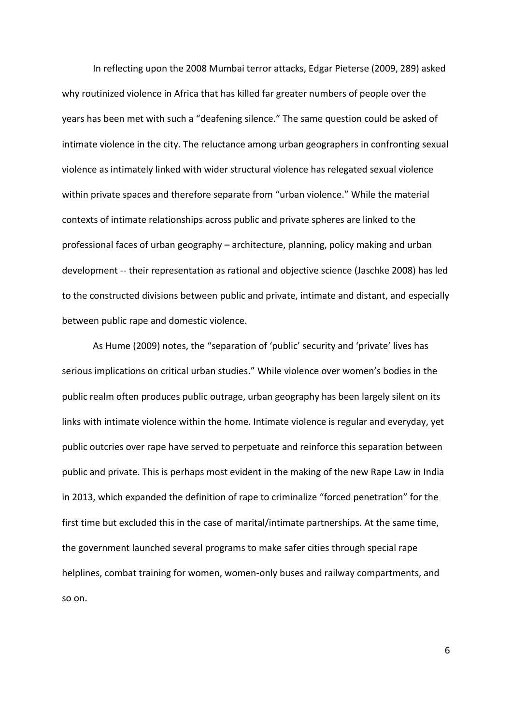In reflecting upon the 2008 Mumbai terror attacks, Edgar Pieterse (2009, 289) asked why routinized violence in Africa that has killed far greater numbers of people over the years has been met with such a "deafening silence." The same question could be asked of intimate violence in the city. The reluctance among urban geographers in confronting sexual violence as intimately linked with wider structural violence has relegated sexual violence within private spaces and therefore separate from "urban violence." While the material contexts of intimate relationships across public and private spheres are linked to the professional faces of urban geography – architecture, planning, policy making and urban development -- their representation as rational and objective science (Jaschke 2008) has led to the constructed divisions between public and private, intimate and distant, and especially between public rape and domestic violence.

As Hume (2009) notes, the "separation of 'public' security and 'private' lives has serious implications on critical urban studies." While violence over women's bodies in the public realm often produces public outrage, urban geography has been largely silent on its links with intimate violence within the home. Intimate violence is regular and everyday, yet public outcries over rape have served to perpetuate and reinforce this separation between public and private. This is perhaps most evident in the making of the new Rape Law in India in 2013, which expanded the definition of rape to criminalize "forced penetration" for the first time but excluded this in the case of marital/intimate partnerships. At the same time, the government launched several programs to make safer cities through special rape helplines, combat training for women, women-only buses and railway compartments, and so on.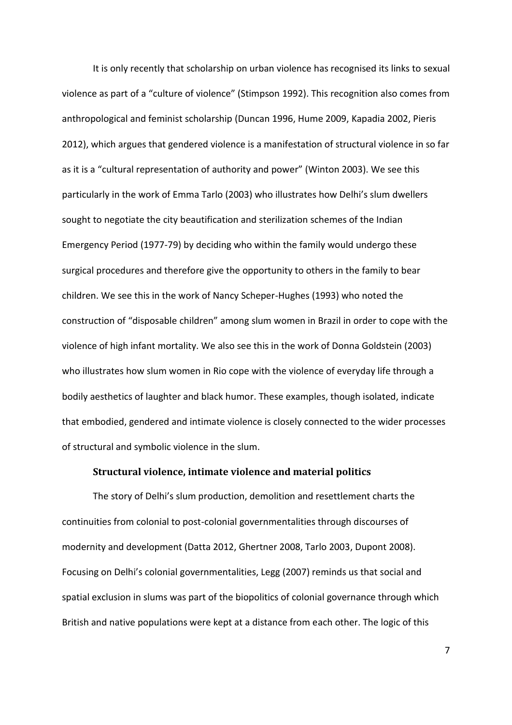It is only recently that scholarship on urban violence has recognised its links to sexual violence as part of a "culture of violence" (Stimpson 1992). This recognition also comes from anthropological and feminist scholarship (Duncan 1996, Hume 2009, Kapadia 2002, Pieris 2012), which argues that gendered violence is a manifestation of structural violence in so far as it is a "cultural representation of authority and power" (Winton 2003). We see this particularly in the work of Emma Tarlo (2003) who illustrates how Delhi's slum dwellers sought to negotiate the city beautification and sterilization schemes of the Indian Emergency Period (1977-79) by deciding who within the family would undergo these surgical procedures and therefore give the opportunity to others in the family to bear children. We see this in the work of Nancy Scheper-Hughes (1993) who noted the construction of "disposable children" among slum women in Brazil in order to cope with the violence of high infant mortality. We also see this in the work of Donna Goldstein (2003) who illustrates how slum women in Rio cope with the violence of everyday life through a bodily aesthetics of laughter and black humor. These examples, though isolated, indicate that embodied, gendered and intimate violence is closely connected to the wider processes of structural and symbolic violence in the slum.

### **Structural violence, intimate violence and material politics**

The story of Delhi's slum production, demolition and resettlement charts the continuities from colonial to post-colonial governmentalities through discourses of modernity and development (Datta 2012, Ghertner 2008, Tarlo 2003, Dupont 2008). Focusing on Delhi's colonial governmentalities, Legg (2007) reminds us that social and spatial exclusion in slums was part of the biopolitics of colonial governance through which British and native populations were kept at a distance from each other. The logic of this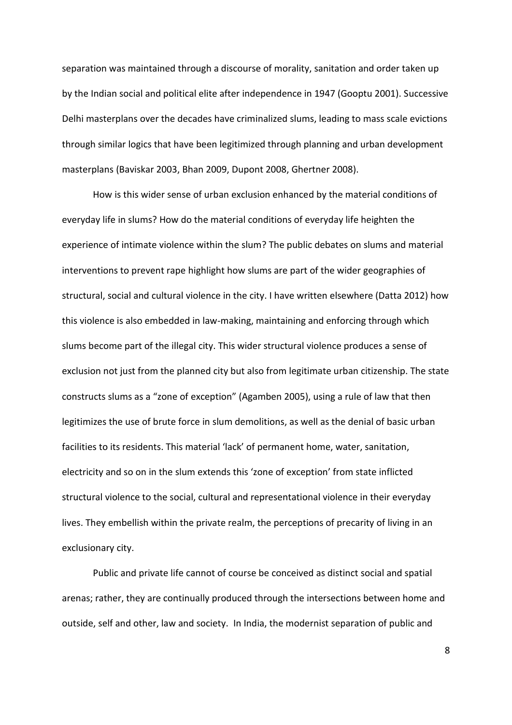separation was maintained through a discourse of morality, sanitation and order taken up by the Indian social and political elite after independence in 1947 (Gooptu 2001). Successive Delhi masterplans over the decades have criminalized slums, leading to mass scale evictions through similar logics that have been legitimized through planning and urban development masterplans (Baviskar 2003, Bhan 2009, Dupont 2008, Ghertner 2008).

How is this wider sense of urban exclusion enhanced by the material conditions of everyday life in slums? How do the material conditions of everyday life heighten the experience of intimate violence within the slum? The public debates on slums and material interventions to prevent rape highlight how slums are part of the wider geographies of structural, social and cultural violence in the city. I have written elsewhere (Datta 2012) how this violence is also embedded in law-making, maintaining and enforcing through which slums become part of the illegal city. This wider structural violence produces a sense of exclusion not just from the planned city but also from legitimate urban citizenship. The state constructs slums as a "zone of exception" (Agamben 2005), using a rule of law that then legitimizes the use of brute force in slum demolitions, as well as the denial of basic urban facilities to its residents. This material 'lack' of permanent home, water, sanitation, electricity and so on in the slum extends this 'zone of exception' from state inflicted structural violence to the social, cultural and representational violence in their everyday lives. They embellish within the private realm, the perceptions of precarity of living in an exclusionary city.

Public and private life cannot of course be conceived as distinct social and spatial arenas; rather, they are continually produced through the intersections between home and outside, self and other, law and society. In India, the modernist separation of public and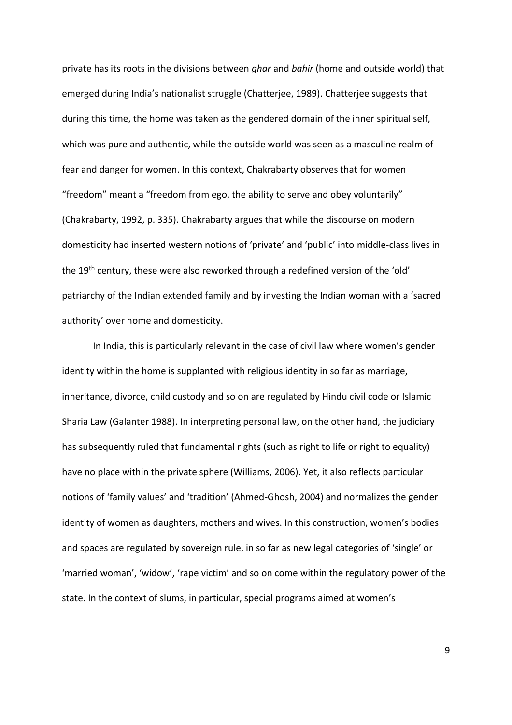private has its roots in the divisions between *ghar* and *bahir* (home and outside world) that emerged during India's nationalist struggle (Chatterjee, 1989). Chatterjee suggests that during this time, the home was taken as the gendered domain of the inner spiritual self, which was pure and authentic, while the outside world was seen as a masculine realm of fear and danger for women. In this context, Chakrabarty observes that for women "freedom" meant a "freedom from ego, the ability to serve and obey voluntarily" (Chakrabarty, 1992, p. 335). Chakrabarty argues that while the discourse on modern domesticity had inserted western notions of 'private' and 'public' into middle-class lives in the 19th century, these were also reworked through a redefined version of the 'old' patriarchy of the Indian extended family and by investing the Indian woman with a 'sacred authority' over home and domesticity.

In India, this is particularly relevant in the case of civil law where women's gender identity within the home is supplanted with religious identity in so far as marriage, inheritance, divorce, child custody and so on are regulated by Hindu civil code or Islamic Sharia Law (Galanter 1988). In interpreting personal law, on the other hand, the judiciary has subsequently ruled that fundamental rights (such as right to life or right to equality) have no place within the private sphere (Williams, 2006). Yet, it also reflects particular notions of 'family values' and 'tradition' (Ahmed-Ghosh, 2004) and normalizes the gender identity of women as daughters, mothers and wives. In this construction, women's bodies and spaces are regulated by sovereign rule, in so far as new legal categories of 'single' or 'married woman', 'widow', 'rape victim' and so on come within the regulatory power of the state. In the context of slums, in particular, special programs aimed at women's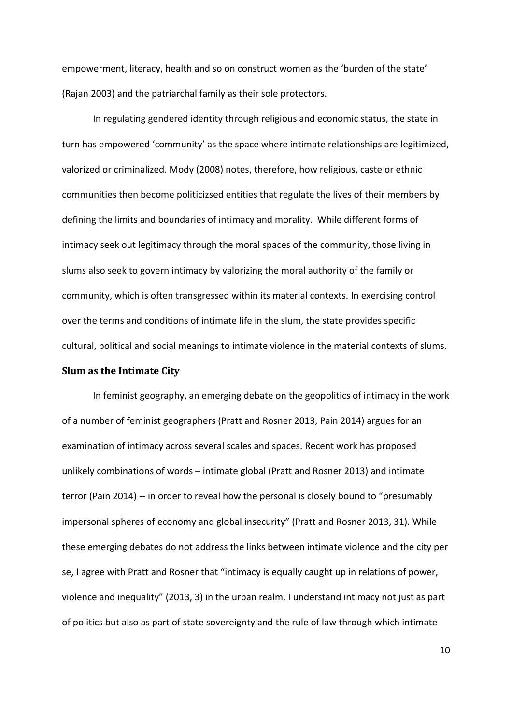empowerment, literacy, health and so on construct women as the 'burden of the state' (Rajan 2003) and the patriarchal family as their sole protectors.

In regulating gendered identity through religious and economic status, the state in turn has empowered 'community' as the space where intimate relationships are legitimized, valorized or criminalized. Mody (2008) notes, therefore, how religious, caste or ethnic communities then become politicizsed entities that regulate the lives of their members by defining the limits and boundaries of intimacy and morality. While different forms of intimacy seek out legitimacy through the moral spaces of the community, those living in slums also seek to govern intimacy by valorizing the moral authority of the family or community, which is often transgressed within its material contexts. In exercising control over the terms and conditions of intimate life in the slum, the state provides specific cultural, political and social meanings to intimate violence in the material contexts of slums.

### **Slum as the Intimate City**

In feminist geography, an emerging debate on the geopolitics of intimacy in the work of a number of feminist geographers (Pratt and Rosner 2013, Pain 2014) argues for an examination of intimacy across several scales and spaces. Recent work has proposed unlikely combinations of words – intimate global (Pratt and Rosner 2013) and intimate terror (Pain 2014) -- in order to reveal how the personal is closely bound to "presumably impersonal spheres of economy and global insecurity" (Pratt and Rosner 2013, 31). While these emerging debates do not address the links between intimate violence and the city per se, I agree with Pratt and Rosner that "intimacy is equally caught up in relations of power, violence and inequality" (2013, 3) in the urban realm. I understand intimacy not just as part of politics but also as part of state sovereignty and the rule of law through which intimate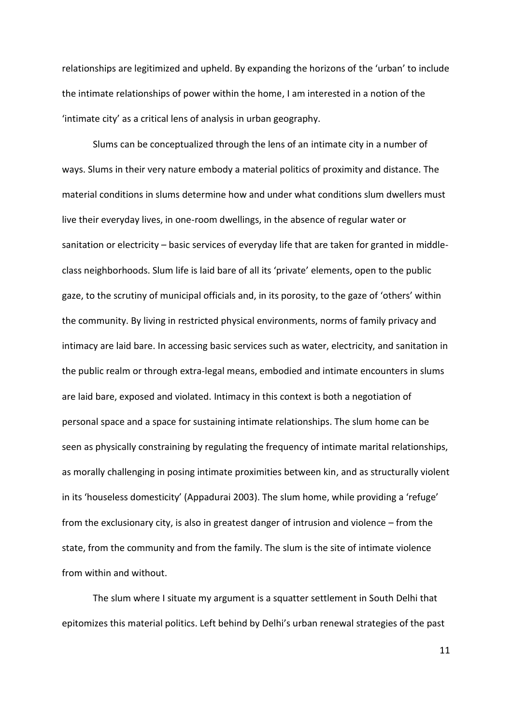relationships are legitimized and upheld. By expanding the horizons of the 'urban' to include the intimate relationships of power within the home, I am interested in a notion of the 'intimate city' as a critical lens of analysis in urban geography.

Slums can be conceptualized through the lens of an intimate city in a number of ways. Slums in their very nature embody a material politics of proximity and distance. The material conditions in slums determine how and under what conditions slum dwellers must live their everyday lives, in one-room dwellings, in the absence of regular water or sanitation or electricity – basic services of everyday life that are taken for granted in middleclass neighborhoods. Slum life is laid bare of all its 'private' elements, open to the public gaze, to the scrutiny of municipal officials and, in its porosity, to the gaze of 'others' within the community. By living in restricted physical environments, norms of family privacy and intimacy are laid bare. In accessing basic services such as water, electricity, and sanitation in the public realm or through extra-legal means, embodied and intimate encounters in slums are laid bare, exposed and violated. Intimacy in this context is both a negotiation of personal space and a space for sustaining intimate relationships. The slum home can be seen as physically constraining by regulating the frequency of intimate marital relationships, as morally challenging in posing intimate proximities between kin, and as structurally violent in its 'houseless domesticity' (Appadurai 2003). The slum home, while providing a 'refuge' from the exclusionary city, is also in greatest danger of intrusion and violence – from the state, from the community and from the family. The slum is the site of intimate violence from within and without.

The slum where I situate my argument is a squatter settlement in South Delhi that epitomizes this material politics. Left behind by Delhi's urban renewal strategies of the past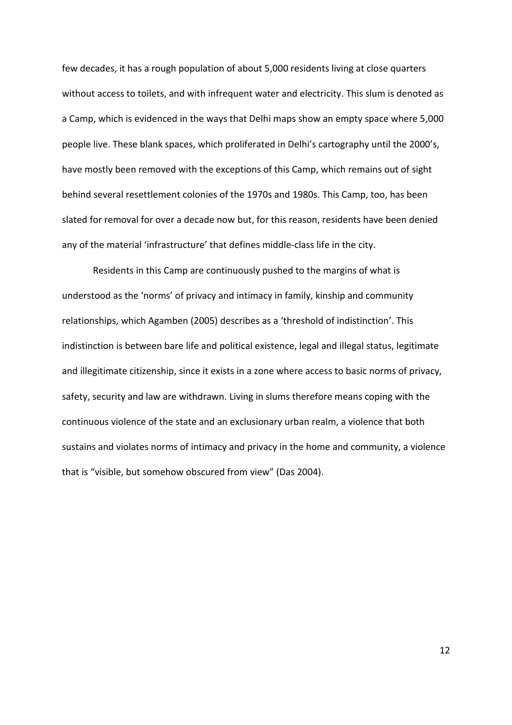few decades, it has a rough population of about 5,000 residents living at close quarters without access to toilets, and with infrequent water and electricity. This slum is denoted as a Camp, which is evidenced in the ways that Delhi maps show an empty space where 5,000 people live. These blank spaces, which proliferated in Delhi's cartography until the 2000's, have mostly been removed with the exceptions of this Camp, which remains out of sight behind several resettlement colonies of the 1970s and 1980s. This Camp, too, has been slated for removal for over a decade now but, for this reason, residents have been denied any of the material 'infrastructure' that defines middle-class life in the city.

Residents in this Camp are continuously pushed to the margins of what is understood as the 'norms' of privacy and intimacy in family, kinship and community relationships, which Agamben (2005) describes as a 'threshold of indistinction'. This indistinction is between bare life and political existence, legal and illegal status, legitimate and illegitimate citizenship, since it exists in a zone where access to basic norms of privacy, safety, security and law are withdrawn. Living in slums therefore means coping with the continuous violence of the state and an exclusionary urban realm, a violence that both sustains and violates norms of intimacy and privacy in the home and community, a violence that is "visible, but somehow obscured from view" (Das 2004).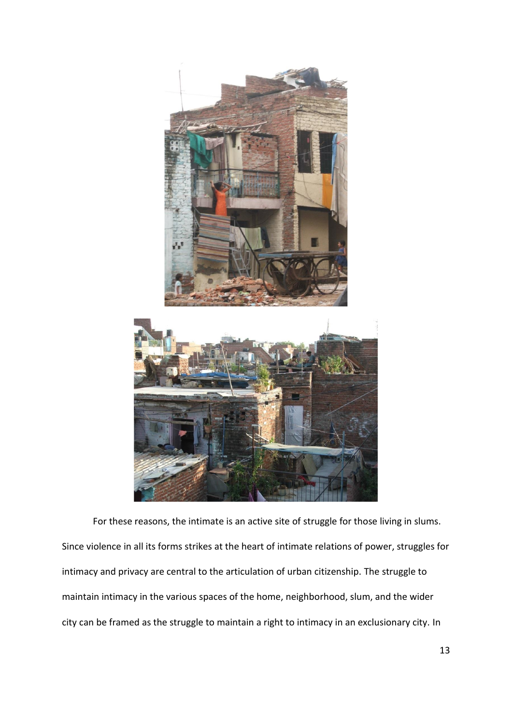

For these reasons, the intimate is an active site of struggle for those living in slums. Since violence in all its forms strikes at the heart of intimate relations of power, struggles for intimacy and privacy are central to the articulation of urban citizenship. The struggle to maintain intimacy in the various spaces of the home, neighborhood, slum, and the wider city can be framed as the struggle to maintain a right to intimacy in an exclusionary city. In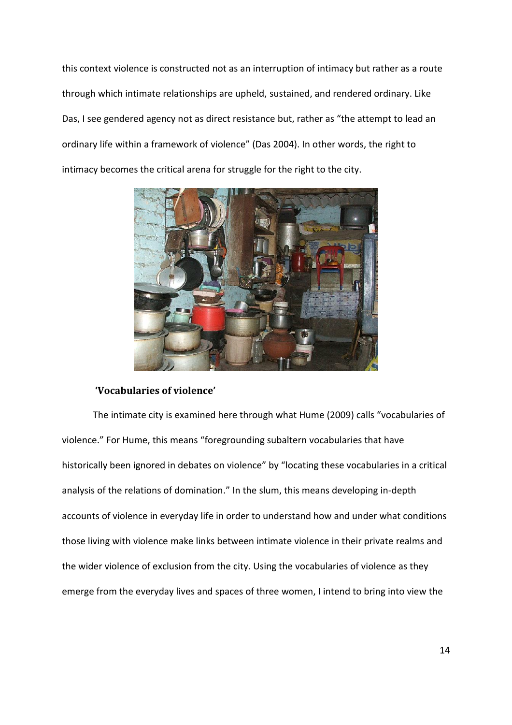this context violence is constructed not as an interruption of intimacy but rather as a route through which intimate relationships are upheld, sustained, and rendered ordinary. Like Das, I see gendered agency not as direct resistance but, rather as "the attempt to lead an ordinary life within a framework of violence" (Das 2004). In other words, the right to intimacy becomes the critical arena for struggle for the right to the city.



### **'Vocabularies of violence'**

The intimate city is examined here through what Hume (2009) calls "vocabularies of violence." For Hume, this means "foregrounding subaltern vocabularies that have historically been ignored in debates on violence" by "locating these vocabularies in a critical analysis of the relations of domination." In the slum, this means developing in-depth accounts of violence in everyday life in order to understand how and under what conditions those living with violence make links between intimate violence in their private realms and the wider violence of exclusion from the city. Using the vocabularies of violence as they emerge from the everyday lives and spaces of three women, I intend to bring into view the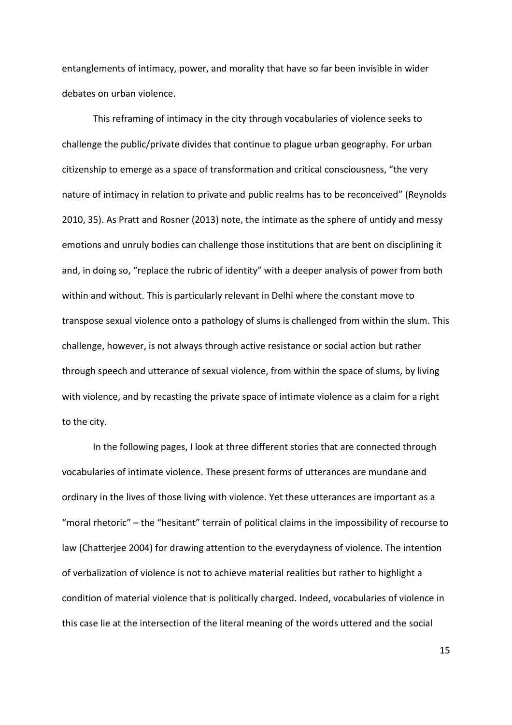entanglements of intimacy, power, and morality that have so far been invisible in wider debates on urban violence.

This reframing of intimacy in the city through vocabularies of violence seeks to challenge the public/private divides that continue to plague urban geography. For urban citizenship to emerge as a space of transformation and critical consciousness, "the very nature of intimacy in relation to private and public realms has to be reconceived" (Reynolds 2010, 35). As Pratt and Rosner (2013) note, the intimate as the sphere of untidy and messy emotions and unruly bodies can challenge those institutions that are bent on disciplining it and, in doing so, "replace the rubric of identity" with a deeper analysis of power from both within and without. This is particularly relevant in Delhi where the constant move to transpose sexual violence onto a pathology of slums is challenged from within the slum. This challenge, however, is not always through active resistance or social action but rather through speech and utterance of sexual violence, from within the space of slums, by living with violence, and by recasting the private space of intimate violence as a claim for a right to the city.

In the following pages, I look at three different stories that are connected through vocabularies of intimate violence. These present forms of utterances are mundane and ordinary in the lives of those living with violence. Yet these utterances are important as a "moral rhetoric" – the "hesitant" terrain of political claims in the impossibility of recourse to law (Chatterjee 2004) for drawing attention to the everydayness of violence. The intention of verbalization of violence is not to achieve material realities but rather to highlight a condition of material violence that is politically charged. Indeed, vocabularies of violence in this case lie at the intersection of the literal meaning of the words uttered and the social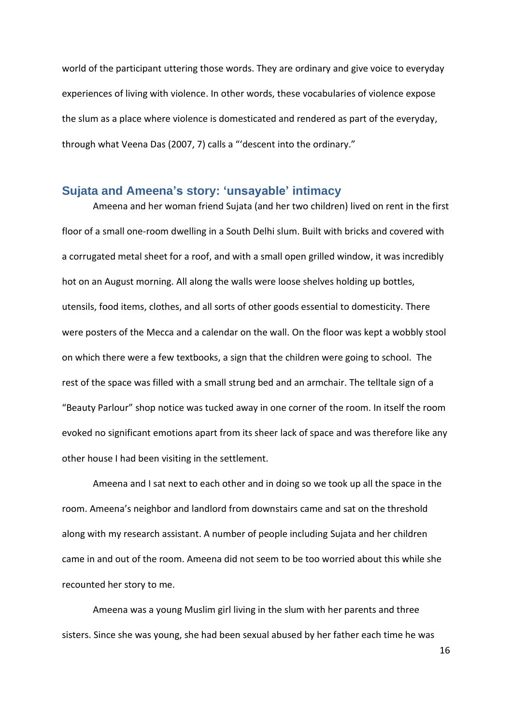world of the participant uttering those words. They are ordinary and give voice to everyday experiences of living with violence. In other words, these vocabularies of violence expose the slum as a place where violence is domesticated and rendered as part of the everyday, through what Veena Das (2007, 7) calls a "'descent into the ordinary."

## **Sujata and Ameena's story: 'unsayable' intimacy**

Ameena and her woman friend Sujata (and her two children) lived on rent in the first floor of a small one-room dwelling in a South Delhi slum. Built with bricks and covered with a corrugated metal sheet for a roof, and with a small open grilled window, it was incredibly hot on an August morning. All along the walls were loose shelves holding up bottles, utensils, food items, clothes, and all sorts of other goods essential to domesticity. There were posters of the Mecca and a calendar on the wall. On the floor was kept a wobbly stool on which there were a few textbooks, a sign that the children were going to school. The rest of the space was filled with a small strung bed and an armchair. The telltale sign of a "Beauty Parlour" shop notice was tucked away in one corner of the room. In itself the room evoked no significant emotions apart from its sheer lack of space and was therefore like any other house I had been visiting in the settlement.

Ameena and I sat next to each other and in doing so we took up all the space in the room. Ameena's neighbor and landlord from downstairs came and sat on the threshold along with my research assistant. A number of people including Sujata and her children came in and out of the room. Ameena did not seem to be too worried about this while she recounted her story to me.

Ameena was a young Muslim girl living in the slum with her parents and three sisters. Since she was young, she had been sexual abused by her father each time he was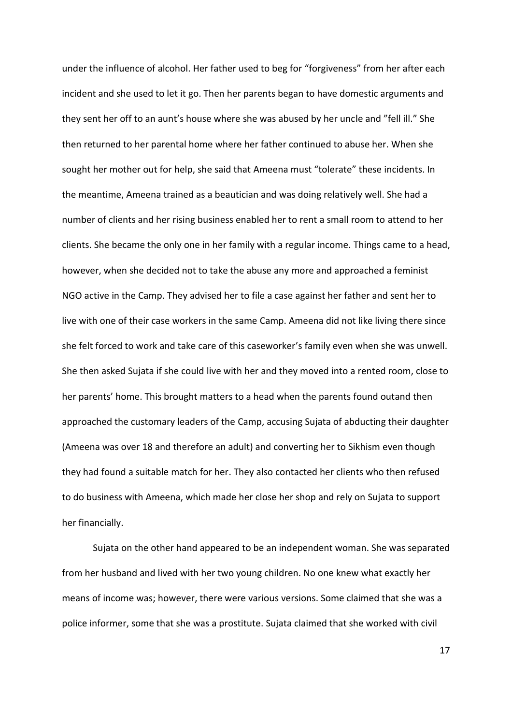under the influence of alcohol. Her father used to beg for "forgiveness" from her after each incident and she used to let it go. Then her parents began to have domestic arguments and they sent her off to an aunt's house where she was abused by her uncle and "fell ill." She then returned to her parental home where her father continued to abuse her. When she sought her mother out for help, she said that Ameena must "tolerate" these incidents. In the meantime, Ameena trained as a beautician and was doing relatively well. She had a number of clients and her rising business enabled her to rent a small room to attend to her clients. She became the only one in her family with a regular income. Things came to a head, however, when she decided not to take the abuse any more and approached a feminist NGO active in the Camp. They advised her to file a case against her father and sent her to live with one of their case workers in the same Camp. Ameena did not like living there since she felt forced to work and take care of this caseworker's family even when she was unwell. She then asked Sujata if she could live with her and they moved into a rented room, close to her parents' home. This brought matters to a head when the parents found outand then approached the customary leaders of the Camp, accusing Sujata of abducting their daughter (Ameena was over 18 and therefore an adult) and converting her to Sikhism even though they had found a suitable match for her. They also contacted her clients who then refused to do business with Ameena, which made her close her shop and rely on Sujata to support her financially.

Sujata on the other hand appeared to be an independent woman. She was separated from her husband and lived with her two young children. No one knew what exactly her means of income was; however, there were various versions. Some claimed that she was a police informer, some that she was a prostitute. Sujata claimed that she worked with civil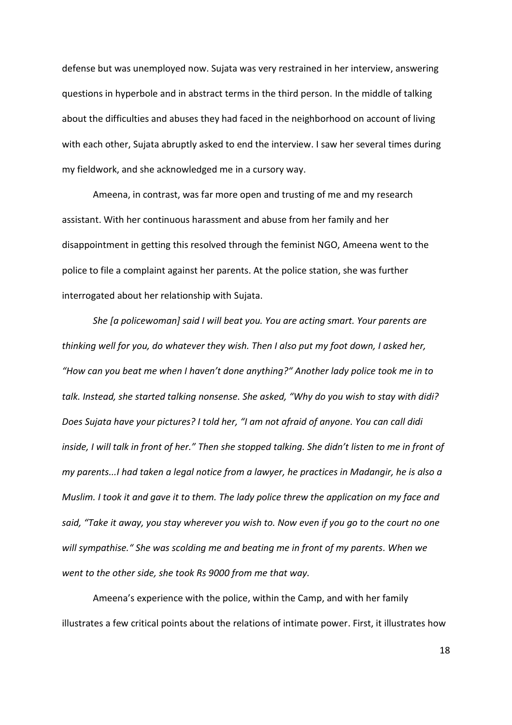defense but was unemployed now. Sujata was very restrained in her interview, answering questions in hyperbole and in abstract terms in the third person. In the middle of talking about the difficulties and abuses they had faced in the neighborhood on account of living with each other, Sujata abruptly asked to end the interview. I saw her several times during my fieldwork, and she acknowledged me in a cursory way.

Ameena, in contrast, was far more open and trusting of me and my research assistant. With her continuous harassment and abuse from her family and her disappointment in getting this resolved through the feminist NGO, Ameena went to the police to file a complaint against her parents. At the police station, she was further interrogated about her relationship with Sujata.

*She [a policewoman] said I will beat you. You are acting smart. Your parents are thinking well for you, do whatever they wish. Then I also put my foot down, I asked her, "How can you beat me when I haven't done anything?" Another lady police took me in to talk. Instead, she started talking nonsense. She asked, "Why do you wish to stay with didi? Does Sujata have your pictures? I told her, "I am not afraid of anyone. You can call didi inside, I will talk in front of her." Then she stopped talking. She didn't listen to me in front of my parents...I had taken a legal notice from a lawyer, he practices in Madangir, he is also a Muslim. I took it and gave it to them. The lady police threw the application on my face and said, "Take it away, you stay wherever you wish to. Now even if you go to the court no one will sympathise." She was scolding me and beating me in front of my parents. When we went to the other side, she took Rs 9000 from me that way.*

Ameena's experience with the police, within the Camp, and with her family illustrates a few critical points about the relations of intimate power. First, it illustrates how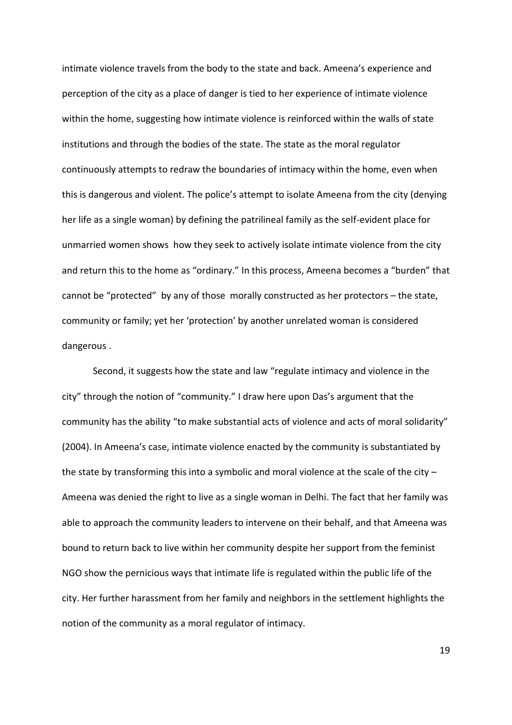intimate violence travels from the body to the state and back. Ameena's experience and perception of the city as a place of danger is tied to her experience of intimate violence within the home, suggesting how intimate violence is reinforced within the walls of state institutions and through the bodies of the state. The state as the moral regulator continuously attempts to redraw the boundaries of intimacy within the home, even when this is dangerous and violent. The police's attempt to isolate Ameena from the city (denying her life as a single woman) by defining the patrilineal family as the self-evident place for unmarried women shows how they seek to actively isolate intimate violence from the city and return this to the home as "ordinary." In this process, Ameena becomes a "burden" that cannot be "protected" by any of those morally constructed as her protectors – the state, community or family; yet her 'protection' by another unrelated woman is considered dangerous .

Second, it suggests how the state and law "regulate intimacy and violence in the city" through the notion of "community." I draw here upon Das's argument that the community has the ability "to make substantial acts of violence and acts of moral solidarity" (2004). In Ameena's case, intimate violence enacted by the community is substantiated by the state by transforming this into a symbolic and moral violence at the scale of the city – Ameena was denied the right to live as a single woman in Delhi. The fact that her family was able to approach the community leaders to intervene on their behalf, and that Ameena was bound to return back to live within her community despite her support from the feminist NGO show the pernicious ways that intimate life is regulated within the public life of the city. Her further harassment from her family and neighbors in the settlement highlights the notion of the community as a moral regulator of intimacy.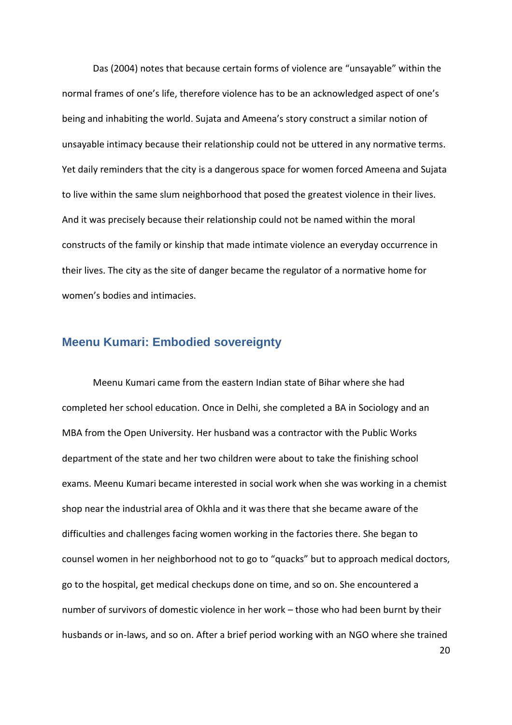Das (2004) notes that because certain forms of violence are "unsayable" within the normal frames of one's life, therefore violence has to be an acknowledged aspect of one's being and inhabiting the world. Sujata and Ameena's story construct a similar notion of unsayable intimacy because their relationship could not be uttered in any normative terms. Yet daily reminders that the city is a dangerous space for women forced Ameena and Sujata to live within the same slum neighborhood that posed the greatest violence in their lives. And it was precisely because their relationship could not be named within the moral constructs of the family or kinship that made intimate violence an everyday occurrence in their lives. The city as the site of danger became the regulator of a normative home for women's bodies and intimacies.

# **Meenu Kumari: Embodied sovereignty**

Meenu Kumari came from the eastern Indian state of Bihar where she had completed her school education. Once in Delhi, she completed a BA in Sociology and an MBA from the Open University. Her husband was a contractor with the Public Works department of the state and her two children were about to take the finishing school exams. Meenu Kumari became interested in social work when she was working in a chemist shop near the industrial area of Okhla and it was there that she became aware of the difficulties and challenges facing women working in the factories there. She began to counsel women in her neighborhood not to go to "quacks" but to approach medical doctors, go to the hospital, get medical checkups done on time, and so on. She encountered a number of survivors of domestic violence in her work – those who had been burnt by their husbands or in-laws, and so on. After a brief period working with an NGO where she trained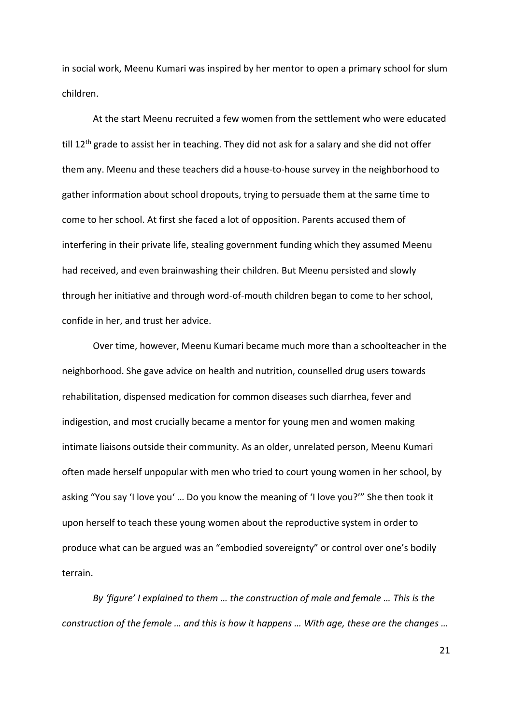in social work, Meenu Kumari was inspired by her mentor to open a primary school for slum children.

At the start Meenu recruited a few women from the settlement who were educated till  $12<sup>th</sup>$  grade to assist her in teaching. They did not ask for a salary and she did not offer them any. Meenu and these teachers did a house-to-house survey in the neighborhood to gather information about school dropouts, trying to persuade them at the same time to come to her school. At first she faced a lot of opposition. Parents accused them of interfering in their private life, stealing government funding which they assumed Meenu had received, and even brainwashing their children. But Meenu persisted and slowly through her initiative and through word-of-mouth children began to come to her school, confide in her, and trust her advice.

Over time, however, Meenu Kumari became much more than a schoolteacher in the neighborhood. She gave advice on health and nutrition, counselled drug users towards rehabilitation, dispensed medication for common diseases such diarrhea, fever and indigestion, and most crucially became a mentor for young men and women making intimate liaisons outside their community. As an older, unrelated person, Meenu Kumari often made herself unpopular with men who tried to court young women in her school, by asking "You say 'I love you' … Do you know the meaning of 'I love you?'" She then took it upon herself to teach these young women about the reproductive system in order to produce what can be argued was an "embodied sovereignty" or control over one's bodily terrain.

*By 'figure' I explained to them … the construction of male and female … This is the construction of the female … and this is how it happens … With age, these are the changes …*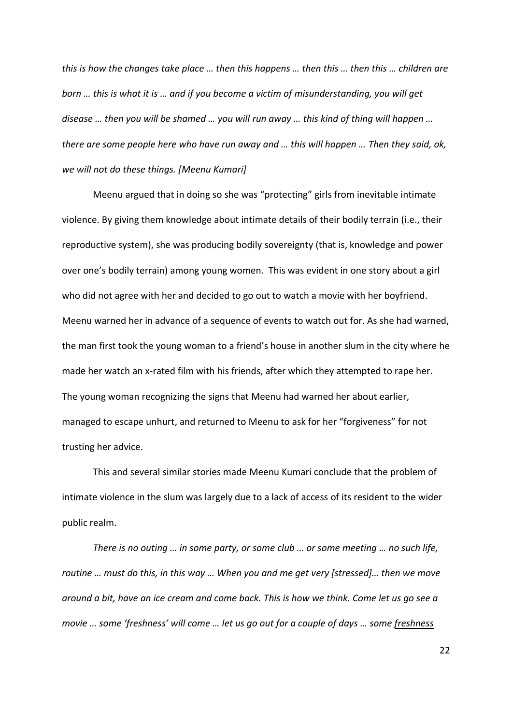*this is how the changes take place … then this happens … then this … then this … children are born … this is what it is … and if you become a victim of misunderstanding, you will get disease … then you will be shamed … you will run away … this kind of thing will happen … there are some people here who have run away and … this will happen … Then they said, ok, we will not do these things. [Meenu Kumari]*

Meenu argued that in doing so she was "protecting" girls from inevitable intimate violence. By giving them knowledge about intimate details of their bodily terrain (i.e., their reproductive system), she was producing bodily sovereignty (that is, knowledge and power over one's bodily terrain) among young women. This was evident in one story about a girl who did not agree with her and decided to go out to watch a movie with her boyfriend. Meenu warned her in advance of a sequence of events to watch out for. As she had warned, the man first took the young woman to a friend's house in another slum in the city where he made her watch an x-rated film with his friends, after which they attempted to rape her. The young woman recognizing the signs that Meenu had warned her about earlier, managed to escape unhurt, and returned to Meenu to ask for her "forgiveness" for not trusting her advice.

This and several similar stories made Meenu Kumari conclude that the problem of intimate violence in the slum was largely due to a lack of access of its resident to the wider public realm.

*There is no outing … in some party, or some club … or some meeting … no such life, routine … must do this, in this way … When you and me get very [stressed]… then we move around a bit, have an ice cream and come back. This is how we think. Come let us go see a movie … some 'freshness' will come … let us go out for a couple of days … some freshness*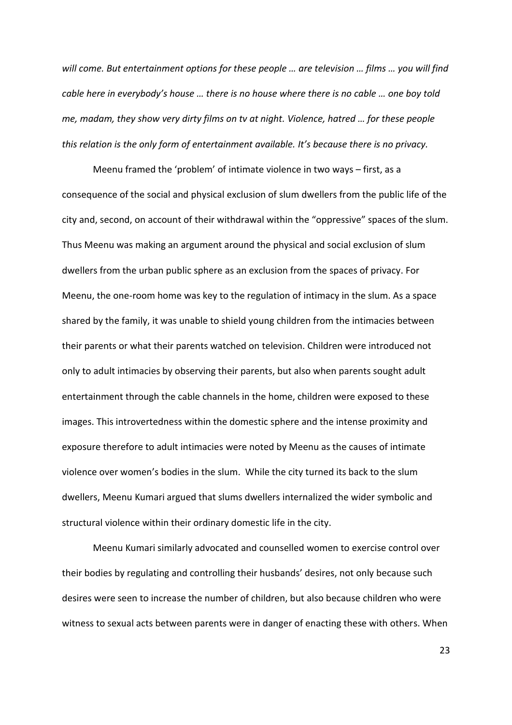*will come. But entertainment options for these people … are television … films … you will find cable here in everybody's house … there is no house where there is no cable … one boy told me, madam, they show very dirty films on tv at night. Violence, hatred … for these people this relation is the only form of entertainment available. It's because there is no privacy.*

Meenu framed the 'problem' of intimate violence in two ways – first, as a consequence of the social and physical exclusion of slum dwellers from the public life of the city and, second, on account of their withdrawal within the "oppressive" spaces of the slum. Thus Meenu was making an argument around the physical and social exclusion of slum dwellers from the urban public sphere as an exclusion from the spaces of privacy. For Meenu, the one-room home was key to the regulation of intimacy in the slum. As a space shared by the family, it was unable to shield young children from the intimacies between their parents or what their parents watched on television. Children were introduced not only to adult intimacies by observing their parents, but also when parents sought adult entertainment through the cable channels in the home, children were exposed to these images. This introvertedness within the domestic sphere and the intense proximity and exposure therefore to adult intimacies were noted by Meenu as the causes of intimate violence over women's bodies in the slum. While the city turned its back to the slum dwellers, Meenu Kumari argued that slums dwellers internalized the wider symbolic and structural violence within their ordinary domestic life in the city.

Meenu Kumari similarly advocated and counselled women to exercise control over their bodies by regulating and controlling their husbands' desires, not only because such desires were seen to increase the number of children, but also because children who were witness to sexual acts between parents were in danger of enacting these with others. When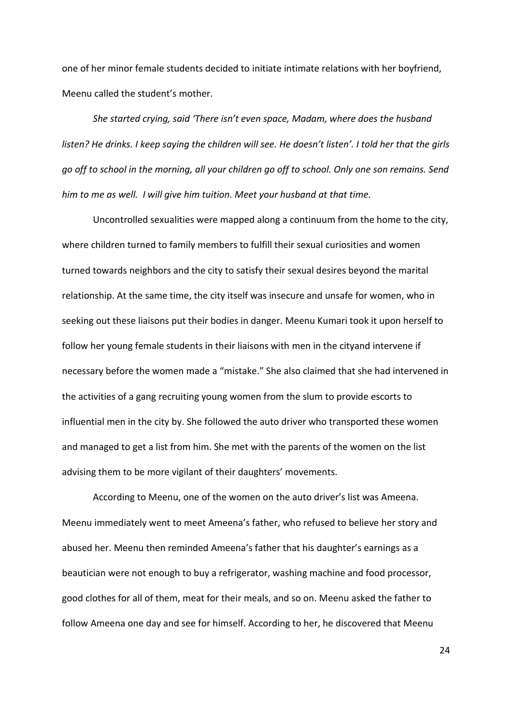one of her minor female students decided to initiate intimate relations with her boyfriend, Meenu called the student's mother.

*She started crying, said 'There isn't even space, Madam, where does the husband listen? He drinks. I keep saying the children will see. He doesn't listen'. I told her that the girls go off to school in the morning, all your children go off to school. Only one son remains. Send him to me as well. I will give him tuition. Meet your husband at that time.*

Uncontrolled sexualities were mapped along a continuum from the home to the city, where children turned to family members to fulfill their sexual curiosities and women turned towards neighbors and the city to satisfy their sexual desires beyond the marital relationship. At the same time, the city itself was insecure and unsafe for women, who in seeking out these liaisons put their bodies in danger. Meenu Kumari took it upon herself to follow her young female students in their liaisons with men in the cityand intervene if necessary before the women made a "mistake." She also claimed that she had intervened in the activities of a gang recruiting young women from the slum to provide escorts to influential men in the city by. She followed the auto driver who transported these women and managed to get a list from him. She met with the parents of the women on the list advising them to be more vigilant of their daughters' movements.

According to Meenu, one of the women on the auto driver's list was Ameena. Meenu immediately went to meet Ameena's father, who refused to believe her story and abused her. Meenu then reminded Ameena's father that his daughter's earnings as a beautician were not enough to buy a refrigerator, washing machine and food processor, good clothes for all of them, meat for their meals, and so on. Meenu asked the father to follow Ameena one day and see for himself. According to her, he discovered that Meenu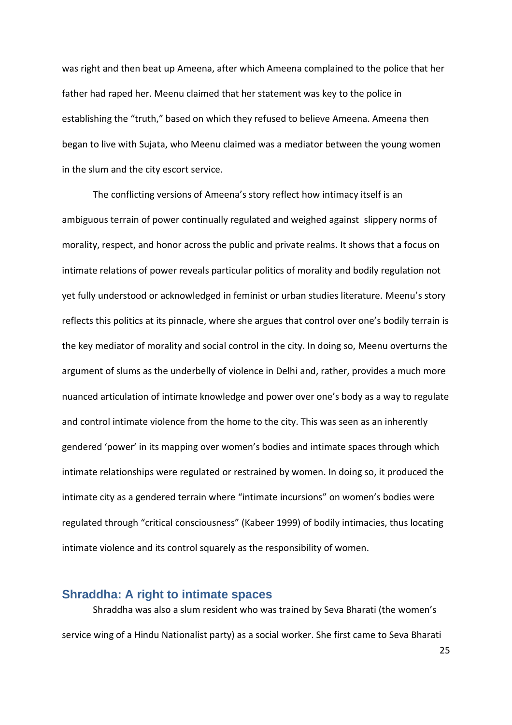was right and then beat up Ameena, after which Ameena complained to the police that her father had raped her. Meenu claimed that her statement was key to the police in establishing the "truth," based on which they refused to believe Ameena. Ameena then began to live with Sujata, who Meenu claimed was a mediator between the young women in the slum and the city escort service.

The conflicting versions of Ameena's story reflect how intimacy itself is an ambiguous terrain of power continually regulated and weighed against slippery norms of morality, respect, and honor across the public and private realms. It shows that a focus on intimate relations of power reveals particular politics of morality and bodily regulation not yet fully understood or acknowledged in feminist or urban studies literature. Meenu's story reflects this politics at its pinnacle, where she argues that control over one's bodily terrain is the key mediator of morality and social control in the city. In doing so, Meenu overturns the argument of slums as the underbelly of violence in Delhi and, rather, provides a much more nuanced articulation of intimate knowledge and power over one's body as a way to regulate and control intimate violence from the home to the city. This was seen as an inherently gendered 'power' in its mapping over women's bodies and intimate spaces through which intimate relationships were regulated or restrained by women. In doing so, it produced the intimate city as a gendered terrain where "intimate incursions" on women's bodies were regulated through "critical consciousness" (Kabeer 1999) of bodily intimacies, thus locating intimate violence and its control squarely as the responsibility of women.

## **Shraddha: A right to intimate spaces**

Shraddha was also a slum resident who was trained by Seva Bharati (the women's service wing of a Hindu Nationalist party) as a social worker. She first came to Seva Bharati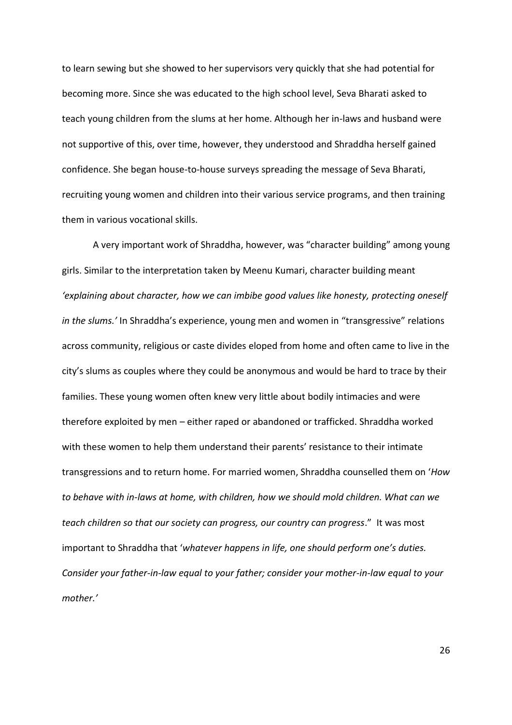to learn sewing but she showed to her supervisors very quickly that she had potential for becoming more. Since she was educated to the high school level, Seva Bharati asked to teach young children from the slums at her home. Although her in-laws and husband were not supportive of this, over time, however, they understood and Shraddha herself gained confidence. She began house-to-house surveys spreading the message of Seva Bharati, recruiting young women and children into their various service programs, and then training them in various vocational skills.

A very important work of Shraddha, however, was "character building" among young girls. Similar to the interpretation taken by Meenu Kumari, character building meant *'explaining about character, how we can imbibe good values like honesty, protecting oneself in the slums.'* In Shraddha's experience, young men and women in "transgressive" relations across community, religious or caste divides eloped from home and often came to live in the city's slums as couples where they could be anonymous and would be hard to trace by their families. These young women often knew very little about bodily intimacies and were therefore exploited by men – either raped or abandoned or trafficked. Shraddha worked with these women to help them understand their parents' resistance to their intimate transgressions and to return home. For married women, Shraddha counselled them on '*How to behave with in-laws at home, with children, how we should mold children. What can we teach children so that our society can progress, our country can progress*." It was most important to Shraddha that '*whatever happens in life, one should perform one's duties. Consider your father-in-law equal to your father; consider your mother-in-law equal to your mother.'*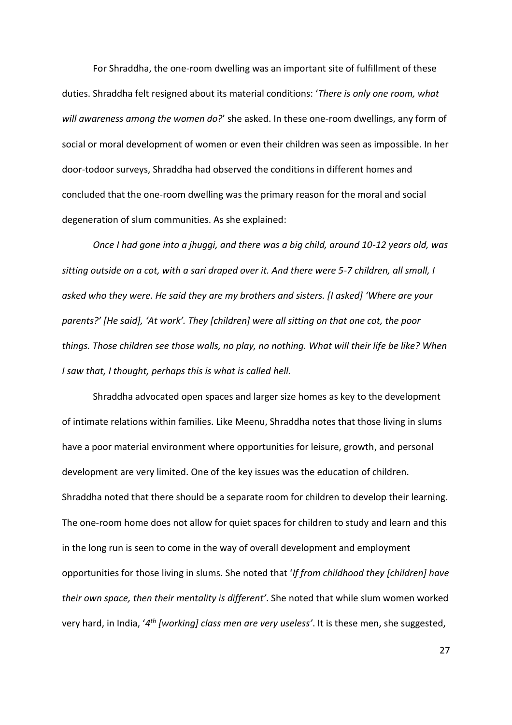For Shraddha, the one-room dwelling was an important site of fulfillment of these duties. Shraddha felt resigned about its material conditions: '*There is only one room, what will awareness among the women do?*' she asked. In these one-room dwellings, any form of social or moral development of women or even their children was seen as impossible. In her door-todoor surveys, Shraddha had observed the conditions in different homes and concluded that the one-room dwelling was the primary reason for the moral and social degeneration of slum communities. As she explained:

*Once I had gone into a jhuggi, and there was a big child, around 10-12 years old, was sitting outside on a cot, with a sari draped over it. And there were 5-7 children, all small, I asked who they were. He said they are my brothers and sisters. [I asked] 'Where are your parents?' [He said], 'At work'. They [children] were all sitting on that one cot, the poor things. Those children see those walls, no play, no nothing. What will their life be like? When I saw that, I thought, perhaps this is what is called hell.*

Shraddha advocated open spaces and larger size homes as key to the development of intimate relations within families. Like Meenu, Shraddha notes that those living in slums have a poor material environment where opportunities for leisure, growth, and personal development are very limited. One of the key issues was the education of children. Shraddha noted that there should be a separate room for children to develop their learning. The one-room home does not allow for quiet spaces for children to study and learn and this in the long run is seen to come in the way of overall development and employment opportunities for those living in slums. She noted that '*If from childhood they [children] have their own space, then their mentality is different'*. She noted that while slum women worked very hard, in India, '4<sup>th</sup> [working] class men are very useless'. It is these men, she suggested,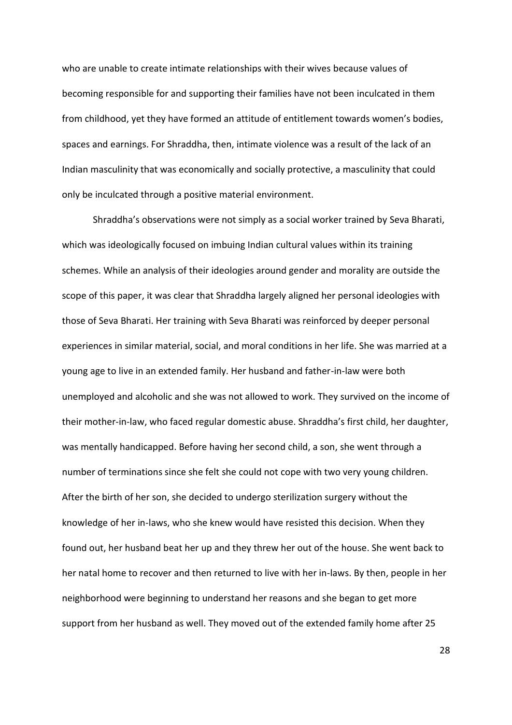who are unable to create intimate relationships with their wives because values of becoming responsible for and supporting their families have not been inculcated in them from childhood, yet they have formed an attitude of entitlement towards women's bodies, spaces and earnings. For Shraddha, then, intimate violence was a result of the lack of an Indian masculinity that was economically and socially protective, a masculinity that could only be inculcated through a positive material environment.

Shraddha's observations were not simply as a social worker trained by Seva Bharati, which was ideologically focused on imbuing Indian cultural values within its training schemes. While an analysis of their ideologies around gender and morality are outside the scope of this paper, it was clear that Shraddha largely aligned her personal ideologies with those of Seva Bharati. Her training with Seva Bharati was reinforced by deeper personal experiences in similar material, social, and moral conditions in her life. She was married at a young age to live in an extended family. Her husband and father-in-law were both unemployed and alcoholic and she was not allowed to work. They survived on the income of their mother-in-law, who faced regular domestic abuse. Shraddha's first child, her daughter, was mentally handicapped. Before having her second child, a son, she went through a number of terminations since she felt she could not cope with two very young children. After the birth of her son, she decided to undergo sterilization surgery without the knowledge of her in-laws, who she knew would have resisted this decision. When they found out, her husband beat her up and they threw her out of the house. She went back to her natal home to recover and then returned to live with her in-laws. By then, people in her neighborhood were beginning to understand her reasons and she began to get more support from her husband as well. They moved out of the extended family home after 25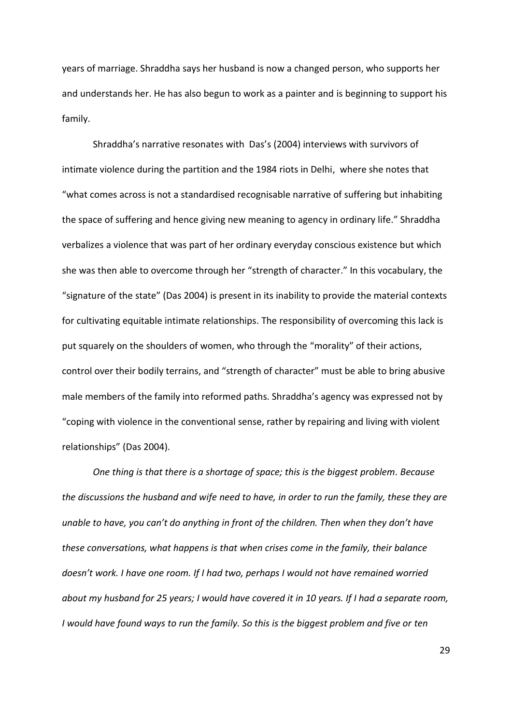years of marriage. Shraddha says her husband is now a changed person, who supports her and understands her. He has also begun to work as a painter and is beginning to support his family.

Shraddha's narrative resonates with Das's (2004) interviews with survivors of intimate violence during the partition and the 1984 riots in Delhi, where she notes that "what comes across is not a standardised recognisable narrative of suffering but inhabiting the space of suffering and hence giving new meaning to agency in ordinary life." Shraddha verbalizes a violence that was part of her ordinary everyday conscious existence but which she was then able to overcome through her "strength of character." In this vocabulary, the "signature of the state" (Das 2004) is present in its inability to provide the material contexts for cultivating equitable intimate relationships. The responsibility of overcoming this lack is put squarely on the shoulders of women, who through the "morality" of their actions, control over their bodily terrains, and "strength of character" must be able to bring abusive male members of the family into reformed paths. Shraddha's agency was expressed not by "coping with violence in the conventional sense, rather by repairing and living with violent relationships" (Das 2004).

*One thing is that there is a shortage of space; this is the biggest problem. Because the discussions the husband and wife need to have, in order to run the family, these they are unable to have, you can't do anything in front of the children. Then when they don't have these conversations, what happens is that when crises come in the family, their balance doesn't work. I have one room. If I had two, perhaps I would not have remained worried about my husband for 25 years; I would have covered it in 10 years. If I had a separate room, I would have found ways to run the family. So this is the biggest problem and five or ten*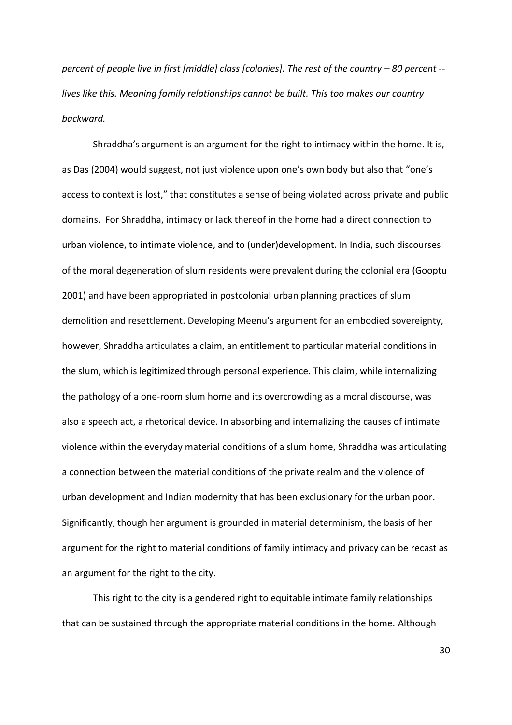*percent of people live in first [middle] class [colonies]. The rest of the country – 80 percent -lives like this. Meaning family relationships cannot be built. This too makes our country backward.*

Shraddha's argument is an argument for the right to intimacy within the home. It is, as Das (2004) would suggest, not just violence upon one's own body but also that "one's access to context is lost," that constitutes a sense of being violated across private and public domains. For Shraddha, intimacy or lack thereof in the home had a direct connection to urban violence, to intimate violence, and to (under)development. In India, such discourses of the moral degeneration of slum residents were prevalent during the colonial era (Gooptu 2001) and have been appropriated in postcolonial urban planning practices of slum demolition and resettlement. Developing Meenu's argument for an embodied sovereignty, however, Shraddha articulates a claim, an entitlement to particular material conditions in the slum, which is legitimized through personal experience. This claim, while internalizing the pathology of a one-room slum home and its overcrowding as a moral discourse, was also a speech act, a rhetorical device. In absorbing and internalizing the causes of intimate violence within the everyday material conditions of a slum home, Shraddha was articulating a connection between the material conditions of the private realm and the violence of urban development and Indian modernity that has been exclusionary for the urban poor. Significantly, though her argument is grounded in material determinism, the basis of her argument for the right to material conditions of family intimacy and privacy can be recast as an argument for the right to the city.

This right to the city is a gendered right to equitable intimate family relationships that can be sustained through the appropriate material conditions in the home. Although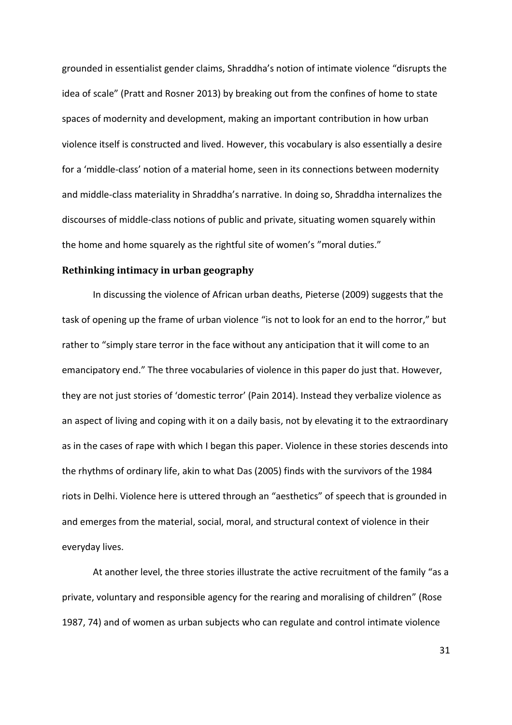grounded in essentialist gender claims, Shraddha's notion of intimate violence "disrupts the idea of scale" (Pratt and Rosner 2013) by breaking out from the confines of home to state spaces of modernity and development, making an important contribution in how urban violence itself is constructed and lived. However, this vocabulary is also essentially a desire for a 'middle-class' notion of a material home, seen in its connections between modernity and middle-class materiality in Shraddha's narrative. In doing so, Shraddha internalizes the discourses of middle-class notions of public and private, situating women squarely within the home and home squarely as the rightful site of women's "moral duties."

### **Rethinking intimacy in urban geography**

In discussing the violence of African urban deaths, Pieterse (2009) suggests that the task of opening up the frame of urban violence "is not to look for an end to the horror," but rather to "simply stare terror in the face without any anticipation that it will come to an emancipatory end." The three vocabularies of violence in this paper do just that. However, they are not just stories of 'domestic terror' (Pain 2014). Instead they verbalize violence as an aspect of living and coping with it on a daily basis, not by elevating it to the extraordinary as in the cases of rape with which I began this paper. Violence in these stories descends into the rhythms of ordinary life, akin to what Das (2005) finds with the survivors of the 1984 riots in Delhi. Violence here is uttered through an "aesthetics" of speech that is grounded in and emerges from the material, social, moral, and structural context of violence in their everyday lives.

At another level, the three stories illustrate the active recruitment of the family "as a private, voluntary and responsible agency for the rearing and moralising of children" (Rose 1987, 74) and of women as urban subjects who can regulate and control intimate violence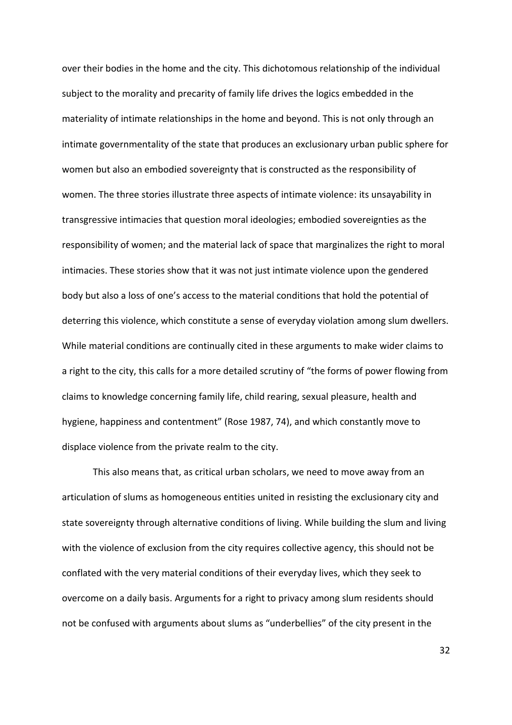over their bodies in the home and the city. This dichotomous relationship of the individual subject to the morality and precarity of family life drives the logics embedded in the materiality of intimate relationships in the home and beyond. This is not only through an intimate governmentality of the state that produces an exclusionary urban public sphere for women but also an embodied sovereignty that is constructed as the responsibility of women. The three stories illustrate three aspects of intimate violence: its unsayability in transgressive intimacies that question moral ideologies; embodied sovereignties as the responsibility of women; and the material lack of space that marginalizes the right to moral intimacies. These stories show that it was not just intimate violence upon the gendered body but also a loss of one's access to the material conditions that hold the potential of deterring this violence, which constitute a sense of everyday violation among slum dwellers. While material conditions are continually cited in these arguments to make wider claims to a right to the city, this calls for a more detailed scrutiny of "the forms of power flowing from claims to knowledge concerning family life, child rearing, sexual pleasure, health and hygiene, happiness and contentment" (Rose 1987, 74), and which constantly move to displace violence from the private realm to the city.

This also means that, as critical urban scholars, we need to move away from an articulation of slums as homogeneous entities united in resisting the exclusionary city and state sovereignty through alternative conditions of living. While building the slum and living with the violence of exclusion from the city requires collective agency, this should not be conflated with the very material conditions of their everyday lives, which they seek to overcome on a daily basis. Arguments for a right to privacy among slum residents should not be confused with arguments about slums as "underbellies" of the city present in the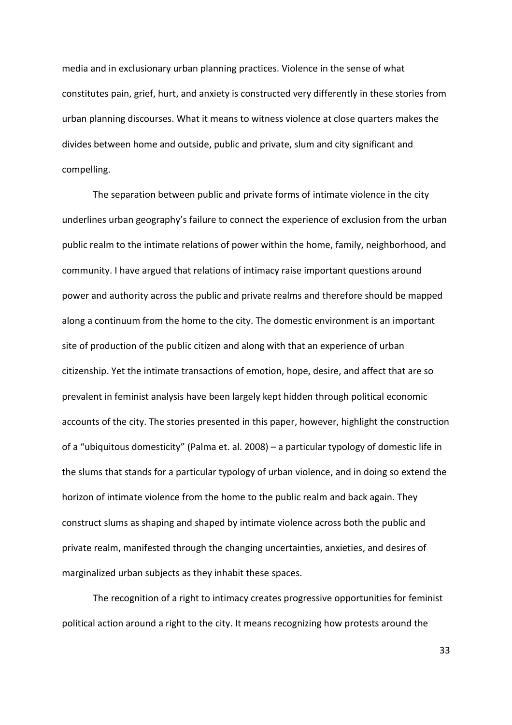media and in exclusionary urban planning practices. Violence in the sense of what constitutes pain, grief, hurt, and anxiety is constructed very differently in these stories from urban planning discourses. What it means to witness violence at close quarters makes the divides between home and outside, public and private, slum and city significant and compelling.

The separation between public and private forms of intimate violence in the city underlines urban geography's failure to connect the experience of exclusion from the urban public realm to the intimate relations of power within the home, family, neighborhood, and community. I have argued that relations of intimacy raise important questions around power and authority across the public and private realms and therefore should be mapped along a continuum from the home to the city. The domestic environment is an important site of production of the public citizen and along with that an experience of urban citizenship. Yet the intimate transactions of emotion, hope, desire, and affect that are so prevalent in feminist analysis have been largely kept hidden through political economic accounts of the city. The stories presented in this paper, however, highlight the construction of a "ubiquitous domesticity" (Palma et. al. 2008) – a particular typology of domestic life in the slums that stands for a particular typology of urban violence, and in doing so extend the horizon of intimate violence from the home to the public realm and back again. They construct slums as shaping and shaped by intimate violence across both the public and private realm, manifested through the changing uncertainties, anxieties, and desires of marginalized urban subjects as they inhabit these spaces.

The recognition of a right to intimacy creates progressive opportunities for feminist political action around a right to the city. It means recognizing how protests around the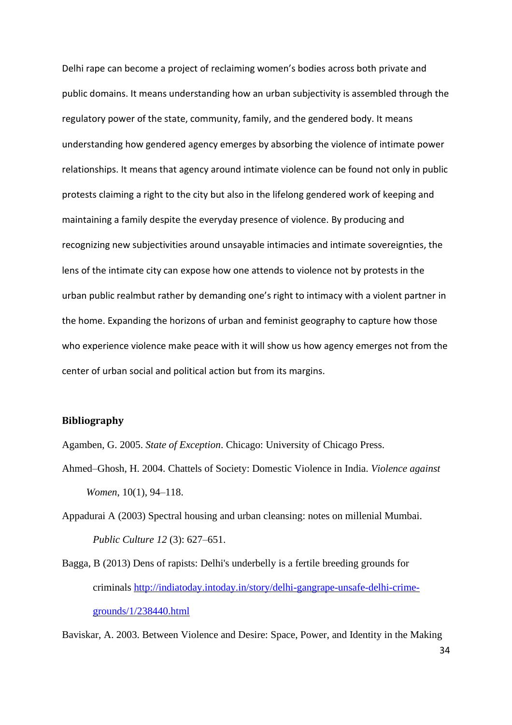Delhi rape can become a project of reclaiming women's bodies across both private and public domains. It means understanding how an urban subjectivity is assembled through the regulatory power of the state, community, family, and the gendered body. It means understanding how gendered agency emerges by absorbing the violence of intimate power relationships. It means that agency around intimate violence can be found not only in public protests claiming a right to the city but also in the lifelong gendered work of keeping and maintaining a family despite the everyday presence of violence. By producing and recognizing new subjectivities around unsayable intimacies and intimate sovereignties, the lens of the intimate city can expose how one attends to violence not by protests in the urban public realmbut rather by demanding one's right to intimacy with a violent partner in the home. Expanding the horizons of urban and feminist geography to capture how those who experience violence make peace with it will show us how agency emerges not from the center of urban social and political action but from its margins.

### **Bibliography**

Agamben, G. 2005. *State of Exception*. Chicago: University of Chicago Press.

- Ahmed–Ghosh, H. 2004. Chattels of Society: Domestic Violence in India. *Violence against Women*, 10(1), 94–118.
- Appadurai A (2003) Spectral housing and urban cleansing: notes on millenial Mumbai. *Public Culture 12* (3): 627–651.
- Bagga, B (2013) Dens of rapists: Delhi's underbelly is a fertile breeding grounds for criminals [http://indiatoday.intoday.in/story/delhi-gangrape-unsafe-delhi-crime](http://indiatoday.intoday.in/story/delhi-gangrape-unsafe-delhi-crime-grounds/1/238440.html)[grounds/1/238440.html](http://indiatoday.intoday.in/story/delhi-gangrape-unsafe-delhi-crime-grounds/1/238440.html)

Baviskar, A. 2003. Between Violence and Desire: Space, Power, and Identity in the Making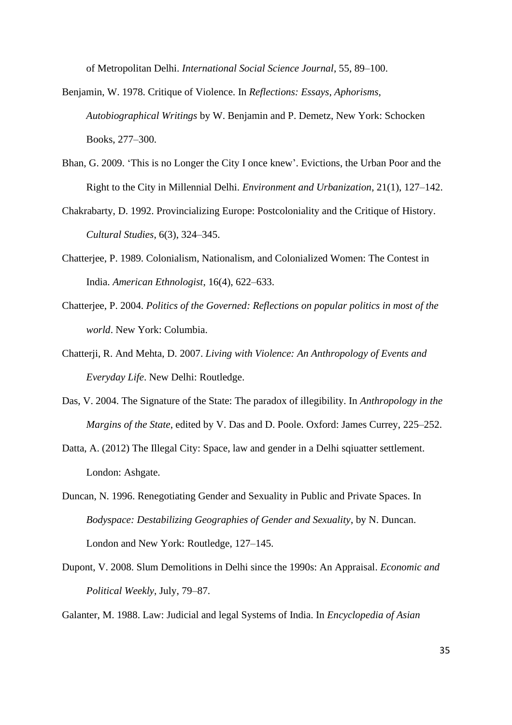of Metropolitan Delhi. *International Social Science Journal*, 55, 89–100.

- Benjamin, W. 1978. Critique of Violence. In *Reflections: Essays, Aphorisms, Autobiographical Writings* by W. Benjamin and P. Demetz, New York: Schocken Books, 277–300.
- Bhan, G. 2009. 'This is no Longer the City I once knew'. Evictions, the Urban Poor and the Right to the City in Millennial Delhi. *Environment and Urbanization*, 21(1), 127–142.
- Chakrabarty, D. 1992. Provincializing Europe: Postcoloniality and the Critique of History. *Cultural Studies*, 6(3), 324–345.
- Chatterjee, P. 1989. Colonialism, Nationalism, and Colonialized Women: The Contest in India. *American Ethnologist*, 16(4), 622–633.
- Chatterjee, P. 2004. *Politics of the Governed: Reflections on popular politics in most of the world*. New York: Columbia.
- Chatterji, R. And Mehta, D. 2007. *Living with Violence: An Anthropology of Events and Everyday Life*. New Delhi: Routledge.
- Das, V. 2004. The Signature of the State: The paradox of illegibility. In *Anthropology in the Margins of the State*, edited by V. Das and D. Poole. Oxford: James Currey, 225–252.
- Datta, A. (2012) The Illegal City: Space, law and gender in a Delhi sqiuatter settlement. London: Ashgate.
- Duncan, N. 1996. Renegotiating Gender and Sexuality in Public and Private Spaces. In *Bodyspace: Destabilizing Geographies of Gender and Sexuality*, by N. Duncan. London and New York: Routledge, 127–145.
- Dupont, V. 2008. Slum Demolitions in Delhi since the 1990s: An Appraisal. *Economic and Political Weekly*, July, 79–87.

Galanter, M. 1988. Law: Judicial and legal Systems of India. In *Encyclopedia of Asian*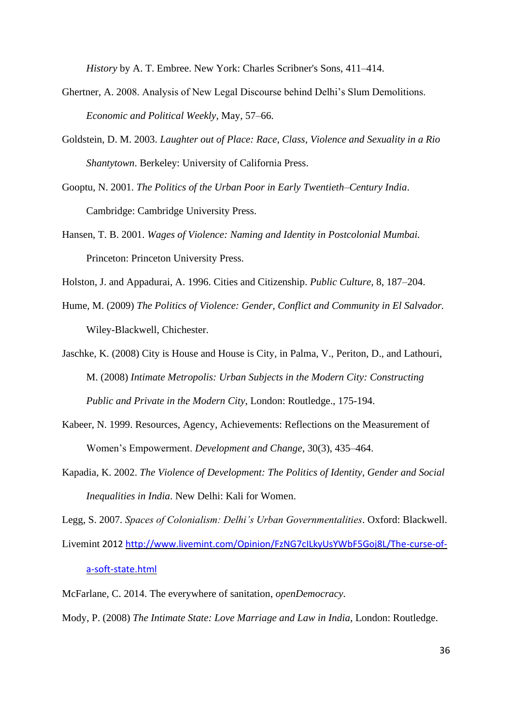*History* by A. T. Embree. New York: Charles Scribner's Sons, 411–414.

- Ghertner, A. 2008. Analysis of New Legal Discourse behind Delhi's Slum Demolitions. *Economic and Political Weekly*, May, 57–66.
- Goldstein, D. M. 2003. *Laughter out of Place: Race, Class, Violence and Sexuality in a Rio Shantytown*. Berkeley: University of California Press.
- Gooptu, N. 2001. *The Politics of the Urban Poor in Early Twentieth–Century India*. Cambridge: Cambridge University Press.
- Hansen, T. B. 2001. *Wages of Violence: Naming and Identity in Postcolonial Mumbai.* Princeton: Princeton University Press.
- Holston, J. and Appadurai, A. 1996. Cities and Citizenship. *Public Culture*, 8, 187–204.
- Hume, M. (2009) *The [Politics of Violence: Gender, Conflict and Community in El Salvador.](http://eprints.gla.ac.uk/40907/)* Wiley-Blackwell, Chichester.
- Jaschke, K. (2008) City is House and House is City, in Palma, V., Periton, D., and Lathouri, M. (2008) *Intimate Metropolis: Urban Subjects in the Modern City: Constructing Public and Private in the Modern City*, London: Routledge., 175-194.
- Kabeer, N. 1999. Resources, Agency, Achievements: Reflections on the Measurement of Women's Empowerment. *Development and Change*, 30(3), 435–464.
- Kapadia, K. 2002. *The Violence of Development: The Politics of Identity, Gender and Social Inequalities in India*. New Delhi: Kali for Women.

Legg, S. 2007. *Spaces of Colonialism: Delhi's Urban Governmentalities*. Oxford: Blackwell.

- Livemint 2012 [http://www.livemint.com/Opinion/FzNG7cILkyUsYWbF5Goj8L/The-curse-of](http://www.livemint.com/Opinion/FzNG7cILkyUsYWbF5Goj8L/The-curse-of-a-soft-state.html)[a-soft-state.html](http://www.livemint.com/Opinion/FzNG7cILkyUsYWbF5Goj8L/The-curse-of-a-soft-state.html)
- McFarlane, C. 2014. The everywhere of sanitation, *openDemocracy*.

Mody, P. (2008) *The Intimate State: Love Marriage and Law in India*, London: Routledge.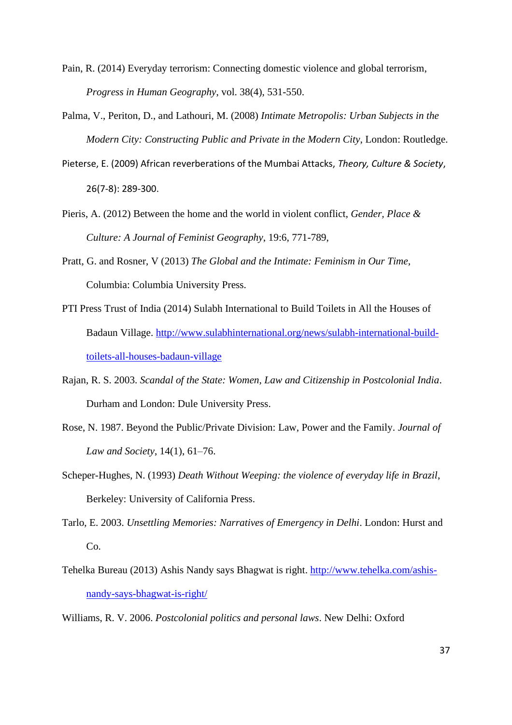- Pain, R. (2014) Everyday terrorism: Connecting domestic violence and global terrorism, *Progress in Human Geography*, vol. 38(4), 531-550.
- Palma, V., Periton, D., and Lathouri, M. (2008) *Intimate Metropolis: Urban Subjects in the Modern City: Constructing Public and Private in the Modern City*, London: Routledge.
- Pieterse, E. (2009) African reverberations of the Mumbai Attacks, *Theory, Culture & Society*, 26(7-8): 289-300.
- Pieris, A. (2012) Between the home and the world in violent conflict, *Gender, Place & Culture: A Journal of Feminist Geography*, 19:6, 771-789,
- Pratt, G. and Rosner, V (2013) *The Global and the Intimate: Feminism in Our Time*, Columbia: Columbia University Press.
- PTI Press Trust of India (2014) Sulabh International to Build Toilets in All the Houses of Badaun Village. [http://www.sulabhinternational.org/news/sulabh-international-build](http://www.sulabhinternational.org/news/sulabh-international-build-toilets-all-houses-badaun-village)[toilets-all-houses-badaun-village](http://www.sulabhinternational.org/news/sulabh-international-build-toilets-all-houses-badaun-village)
- Rajan, R. S. 2003. *Scandal of the State: Women, Law and Citizenship in Postcolonial India*. Durham and London: Dule University Press.
- Rose, N. 1987. Beyond the Public/Private Division: Law, Power and the Family. *Journal of Law and Society*, 14(1), 61–76.
- Scheper-Hughes, N. (1993) *Death Without Weeping: the violence of everyday life in Brazil*, Berkeley: University of California Press.
- Tarlo, E. 2003. *Unsettling Memories: Narratives of Emergency in Delhi*. London: Hurst and Co.
- Tehelka Bureau (2013) Ashis Nandy says Bhagwat is right. [http://www.tehelka.com/ashis](http://www.tehelka.com/ashis-nandy-says-bhagwat-is-right/)[nandy-says-bhagwat-is-right/](http://www.tehelka.com/ashis-nandy-says-bhagwat-is-right/)

Williams, R. V. 2006. *Postcolonial politics and personal laws*. New Delhi: Oxford